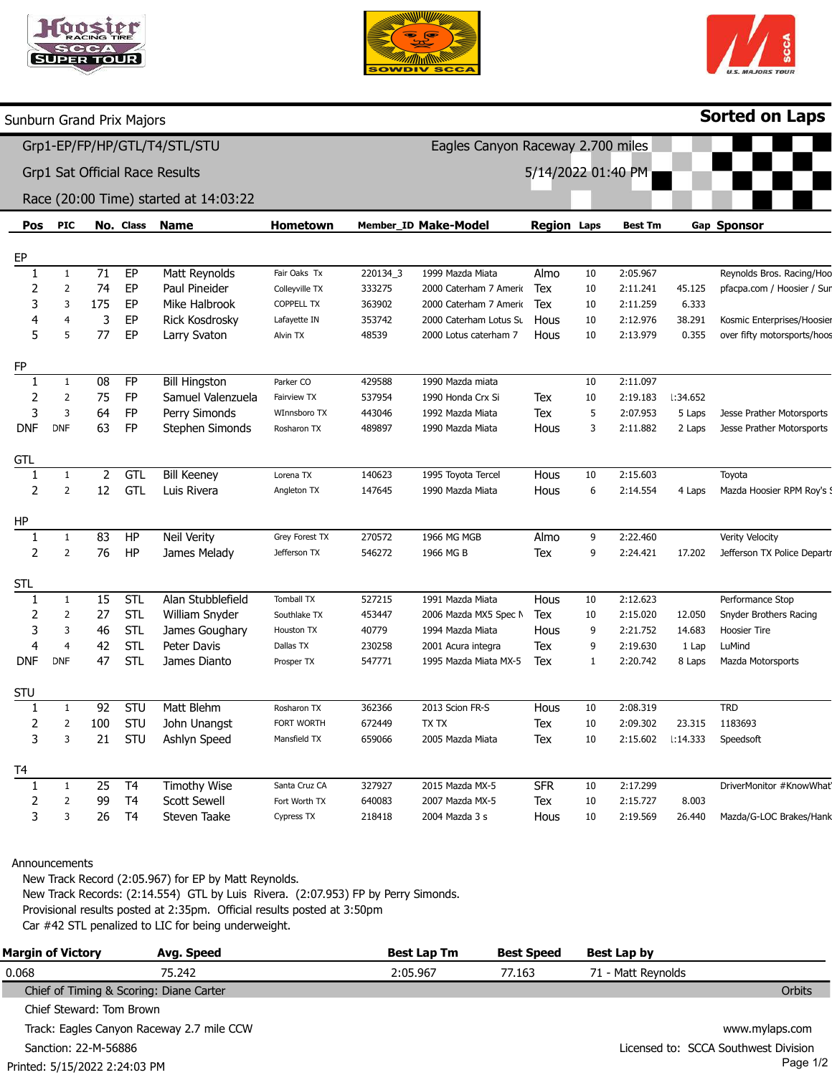



Eagles Canyon Raceway 2.700 miles

5/14/2022 01:40 PM



Sorted on Laps

Sunburn Grand Prix Majors

÷.

Grp1-EP/FP/HP/GTL/T4/STL/STU

Grp1 Sat Official Race Results

## Race (20:00 Time) started at 14:03:22

| Pos        | <b>PIC</b>     |                 | No. Class      | <b>Name</b>          | Hometown          |          | Member_ID Make-Model   | <b>Region Laps</b> |              | <b>Best Tm</b> |                 | Gap Sponsor                 |
|------------|----------------|-----------------|----------------|----------------------|-------------------|----------|------------------------|--------------------|--------------|----------------|-----------------|-----------------------------|
|            |                |                 |                |                      |                   |          |                        |                    |              |                |                 |                             |
| EP<br>1    | 1              | $\overline{71}$ | EP             | Matt Reynolds        | Fair Oaks Tx      | 220134_3 | 1999 Mazda Miata       | Almo               | 10           | 2:05.967       |                 | Reynolds Bros. Racing/Hoo   |
| 2          | 2              | 74              | EP             | Paul Pineider        | Colleyville TX    | 333275   | 2000 Caterham 7 Amerio | Tex                | 10           | 2:11.241       | 45.125          | pfacpa.com / Hoosier / Sur  |
| 3          | 3              | 175             | EP             | Mike Halbrook        | <b>COPPELL TX</b> | 363902   | 2000 Caterham 7 Amerio | Tex                | 10           | 2:11.259       | 6.333           |                             |
| 4          | 4              | 3               | EP             | Rick Kosdrosky       | Lafayette IN      | 353742   | 2000 Caterham Lotus Su | Hous               | 10           | 2:12.976       | 38.291          | Kosmic Enterprises/Hoosier  |
| 5          | 5              | 77              | EP             | Larry Svaton         | Alvin TX          | 48539    | 2000 Lotus caterham 7  | Hous               | 10           | 2:13.979       | 0.355           | over fifty motorsports/hoos |
|            |                |                 |                |                      |                   |          |                        |                    |              |                |                 |                             |
| FP         |                |                 |                |                      |                   |          |                        |                    |              |                |                 |                             |
| 1          | 1              | 08              | <b>FP</b>      | <b>Bill Hingston</b> | Parker CO         | 429588   | 1990 Mazda miata       |                    | 10           | 2:11.097       |                 |                             |
| 2          | $\overline{2}$ | 75              | <b>FP</b>      | Samuel Valenzuela    | Fairview TX       | 537954   | 1990 Honda Crx Si      | Tex                | 10           | 2:19.183       | <b>L:34.652</b> |                             |
| 3          | $\overline{3}$ | 64              | FP             | Perry Simonds        | WInnsboro TX      | 443046   | 1992 Mazda Miata       | Tex                | 5            | 2:07.953       | 5 Laps          | Jesse Prather Motorsports   |
| <b>DNF</b> | <b>DNF</b>     | 63              | <b>FP</b>      | Stephen Simonds      | Rosharon TX       | 489897   | 1990 Mazda Miata       | Hous               | 3            | 2:11.882       | 2 Laps          | Jesse Prather Motorsports   |
|            |                |                 |                |                      |                   |          |                        |                    |              |                |                 |                             |
| GTL<br>-1  | 1              | $\overline{2}$  | GTL            | <b>Bill Keeney</b>   | Lorena TX         | 140623   | 1995 Toyota Tercel     | Hous               | 10           | 2:15.603       |                 | Toyota                      |
| 2          | $\overline{2}$ | 12              | <b>GTL</b>     | Luis Rivera          | Angleton TX       | 147645   | 1990 Mazda Miata       | Hous               | 6            | 2:14.554       | 4 Laps          | Mazda Hoosier RPM Roy's 9   |
|            |                |                 |                |                      |                   |          |                        |                    |              |                |                 |                             |
| ΗP         |                |                 |                |                      |                   |          |                        |                    |              |                |                 |                             |
| 1          | 1              | 83              | HP             | Neil Verity          | Grey Forest TX    | 270572   | 1966 MG MGB            | Almo               | 9            | 2:22.460       |                 | Verity Velocity             |
| 2          | $\overline{2}$ | 76              | HP             | James Melady         | Jefferson TX      | 546272   | 1966 MG B              | Tex                | 9            | 2:24.421       | 17.202          | Jefferson TX Police Departr |
|            |                |                 |                |                      |                   |          |                        |                    |              |                |                 |                             |
| <b>STL</b> |                |                 |                |                      |                   |          |                        |                    |              |                |                 |                             |
| 1          | $\mathbf{1}$   | 15              | STL            | Alan Stubblefield    | Tomball TX        | 527215   | 1991 Mazda Miata       | Hous               | 10           | 2:12.623       |                 | Performance Stop            |
| 2          | $\overline{2}$ | 27              | <b>STL</b>     | William Snyder       | Southlake TX      | 453447   | 2006 Mazda MX5 Spec N  | Tex                | 10           | 2:15.020       | 12.050          | Snyder Brothers Racing      |
| 3          | 3              | 46              | STL            | James Goughary       | Houston TX        | 40779    | 1994 Mazda Miata       | Hous               | 9            | 2:21.752       | 14.683          | Hoosier Tire                |
| 4          | $\overline{4}$ | 42              | <b>STL</b>     | Peter Davis          | Dallas TX         | 230258   | 2001 Acura integra     | Tex                | 9            | 2:19.630       | 1 Lap           | LuMind                      |
| <b>DNF</b> | <b>DNF</b>     | 47              | STL            | James Dianto         | Prosper TX        | 547771   | 1995 Mazda Miata MX-5  | Tex                | $\mathbf{1}$ | 2:20.742       | 8 Laps          | Mazda Motorsports           |
| STU        |                |                 |                |                      |                   |          |                        |                    |              |                |                 |                             |
| 1          | 1              | 92              | STU            | Matt Blehm           | Rosharon TX       | 362366   | 2013 Scion FR-S        | Hous               | 10           | 2:08.319       |                 | <b>TRD</b>                  |
| 2          | $\overline{2}$ | 100             | STU            | John Unangst         | FORT WORTH        | 672449   | TX TX                  | Tex                | 10           | 2:09.302       | 23.315          | 1183693                     |
| 3          | 3              | 21              | STU            | Ashlyn Speed         | Mansfield TX      | 659066   | 2005 Mazda Miata       | Tex                | 10           | 2:15.602       | 1:14.333        | Speedsoft                   |
|            |                |                 |                |                      |                   |          |                        |                    |              |                |                 |                             |
| T4         |                |                 |                |                      |                   |          |                        |                    |              |                |                 |                             |
| 1          | $\mathbf{1}$   | 25              | T <sub>4</sub> | <b>Timothy Wise</b>  | Santa Cruz CA     | 327927   | 2015 Mazda MX-5        | <b>SFR</b>         | 10           | 2:17.299       |                 | DriverMonitor #KnowWhat     |
| 2          | $\overline{2}$ | 99              | T <sub>4</sub> | <b>Scott Sewell</b>  | Fort Worth TX     | 640083   | 2007 Mazda MX-5        | Tex                | 10           | 2:15.727       | 8.003           |                             |
| 3          | 3              | 26              | T <sub>4</sub> | Steven Taake         | Cypress TX        | 218418   | 2004 Mazda 3 s         | Hous               | 10           | 2:19.569       | 26.440          | Mazda/G-LOC Brakes/Hank     |
|            |                |                 |                |                      |                   |          |                        |                    |              |                |                 |                             |

## Announcements

New Track Record (2:05.967) for EP by Matt Reynolds. New Track Records: (2:14.554) GTL by Luis Rivera. (2:07.953) FP by Perry Simonds. Provisional results posted at 2:35pm. Official results posted at 3:50pm Car #42 STL penalized to LIC for being underweight.

| <b>Margin of Victory</b>                | Avg. Speed                                | <b>Best Lap Tm</b> | <b>Best Speed</b> | Best Lap by                          |
|-----------------------------------------|-------------------------------------------|--------------------|-------------------|--------------------------------------|
| 0.068                                   | 75.242                                    | 2:05.967           | 77.163            | 71 - Matt Reynolds                   |
| Chief of Timing & Scoring: Diane Carter |                                           |                    |                   | <b>Orbits</b>                        |
| Chief Steward: Tom Brown                |                                           |                    |                   |                                      |
|                                         | Track: Eagles Canyon Raceway 2.7 mile CCW |                    |                   | www.mylaps.com                       |
| Sanction: 22-M-56886                    |                                           |                    |                   | Licensed to: SCCA Southwest Division |
| Printed: 5/15/2022 2:24:03 PM           |                                           |                    |                   | Page 1/2                             |